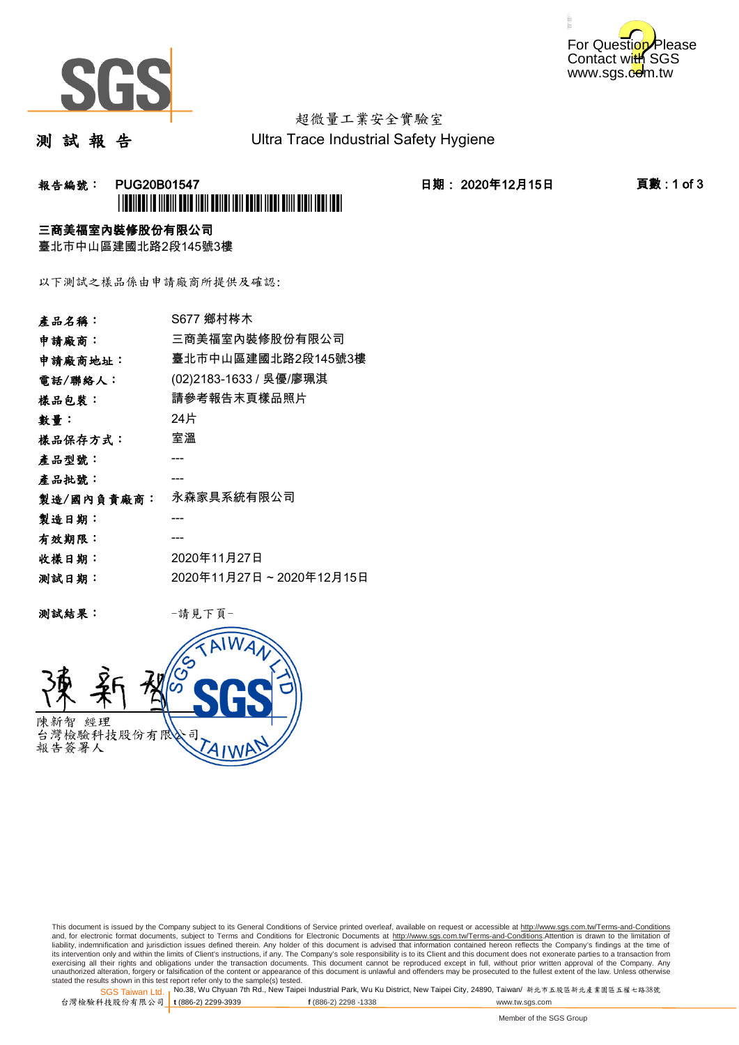



# 超微量工業安全實驗室

測 試 報 告

Ultra Trace Industrial Safety Hygiene

## **報告編號: PUG20B01547 日期: 2020年12月15日 頁數:1 of 3** \*PUG20B01547\*

### 三商美福室內裝修股份有限公司

臺北市中山區建國北路2段145號3樓

以下測試之樣品係由申請廠商所提供及確認:

| 產品名稱:      | S677 鄉村梣木               |
|------------|-------------------------|
| 申請廠商:      | 三商美福室內裝修股份有限公司          |
| 申請廠商地址:    | 臺北市中山區建國北路2段145號3樓      |
| 電話/聯絡人:    | (02)2183-1633 / 吳優/廖珮淇  |
| 樣品包裝:      | 請參考報告末頁樣品照片             |
| 數量:        | 24片                     |
| 樣品保存方式:    | 室溫                      |
| 產品型號:      |                         |
| 產品批號:      |                         |
| 製造/國內負責廠商: | 永森家具系統有限公司              |
| 製造日期:      |                         |
| 有效期限:      |                         |
| 收樣日期:      | 2020年11月27日             |
| 测試日期:      | 2020年11月27日~2020年12月15日 |
|            |                         |

测試結果: 一請見下頁



This document is issued by the Company subject to its General Conditions of Service printed overleaf, available on request or accessible at http://www.sgs.com.tw/Terms-and-Conditions and, for electronic format documents, subject to Terms and Conditions for Electronic Documents at <u>http://www.sgs.com.tw/Terms-and-Conditions</u>.Attention is drawn to the limitation of<br>liability, indemnification and jurisdic exercising all their rights and obligations under the transaction documents. This document cannot be reproduced except in full, without prior written approval of the Company. Any<br>unauthorized alteration, forgery or falsifi

SGS Taiwan Ltd. 1 stated the results shown in this test report refer only to the sample(s) tested.<br>Stated the results shown in this test report refer only to the sample(s) tested.

台灣檢驗科技股份有限公司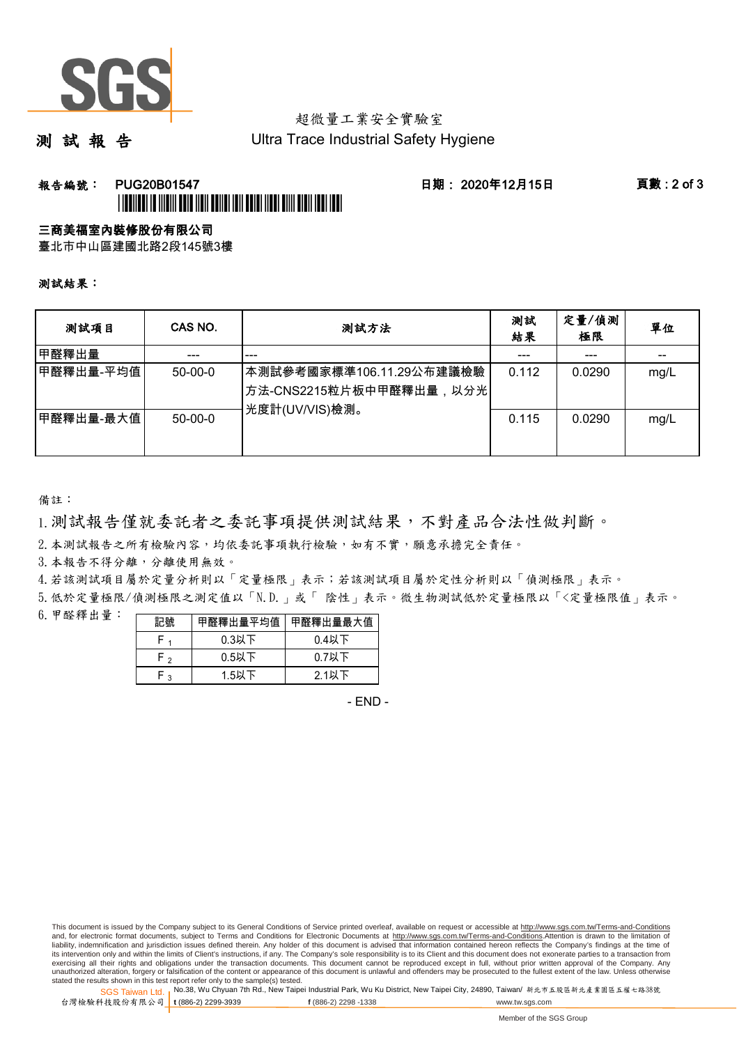

# 超微量工業安全實驗室

測 試 報 告

Ultra Trace Industrial Safety Hygiene

## **報告編號: PUG20B01547 日期: 2020年12月15日 頁數:2 of 3** \*PUG20B01547\*

#### 三商美福室內裝修股份有限公司

臺北市中山區建國北路2段145號3樓

測試結果:

| 测試項目      | CAS NO.   | 测試方法                                                                     | 測試<br>結果 | 定量/偵測<br>極限 | 單位   |
|-----------|-----------|--------------------------------------------------------------------------|----------|-------------|------|
| 甲醛釋出量     |           | ---                                                                      |          | ---         |      |
| 甲醛釋出量-平均值 | $50-00-0$ | ┃本測試參考國家標準106.11.29公布建議檢驗<br>│方法-CNS2215粒片板中甲醛釋出量,以分光│<br>光度計(UV/VIS)檢測。 | 0.112    | 0.0290      | mg/L |
| 甲醛釋出量-最大值 | $50-00-0$ |                                                                          | 0.115    | 0.0290      | mg/L |

備註:

1.測試報告僅就委託者之委託事項提供測試結果,不對產品合法性做判斷。

2.本測試報告之所有檢驗內容,均依委託事項執行檢驗,如有不實,願意承擔完全責任。

3. 本報告不得分離,分離使用無效。

4.若該測試項目屬於定量分析則以「定量極限」表示;若該測試項目屬於定性分析則以「偵測極限」表示。

5.低於定量極限/偵測極限之測定值以「N.D.」或「 陰性」表示。微生物測試低於定量極限以「<定量極限值」表示。

6.甲醛釋出量:

|                | 甲醛釋出量平均值丨 | 甲醛釋出量最大值 |  |  |
|----------------|-----------|----------|--|--|
|                | $0.3$ 以下  | $0.4$ 以下 |  |  |
| ໍ່             | $0.5$ 以下  | $0.7$ 以下 |  |  |
| $\overline{ }$ | $1.5$ 以下  | 2.1以下    |  |  |

- END -

This document is issued by the Company subject to its General Conditions of Service printed overleaf, available on request or accessible at http://www.sgs.com.tw/Terms-and-Conditions and, for electronic format documents, subject to Terms and Conditions for Electronic Documents at http://www.sgs.com.tw/Terms-and-Conditions.Attention is drawn to the limitation of liability, indemnification and jurisdiction issues defined therein. Any holder of this document is advised that information contained hereon reflects the Company's findings at the time of<br>its intervention only and within t exercising all their rights and obligations under the transaction documents. This document cannot be reproduced except in full, without prior written approval of the Company. Any<br>unauthorized alteration, forgery or falsifi

SGS Taiwan Ltd. 1 stated the results shown in this test report refer only to the sample(s) tested.<br>Stated the results shown in this test report refer only to the sample(s) tested.

台灣檢驗科技股份有限公司 **t** (886-2) 2299-3939 **f** (886-2) 2298 -1338 www.tw.sgs.com